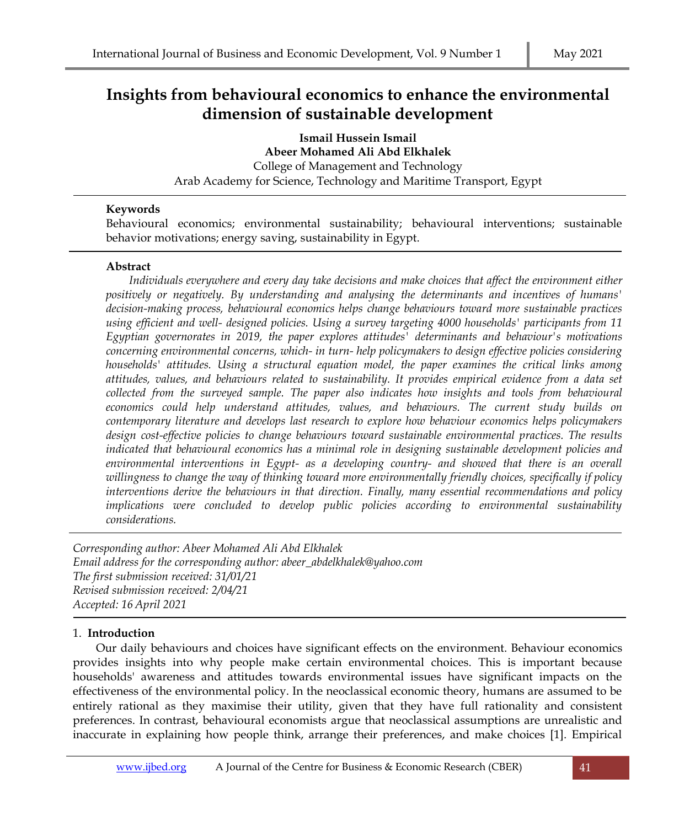# **Insights from behavioural economics to enhance the environmental dimension of sustainable development**

**Ismail Hussein Ismail Abeer Mohamed Ali Abd Elkhalek** College of Management and Technology Arab Academy for Science, Technology and Maritime Transport, Egypt

## **Keywords**

Behavioural economics; environmental sustainability; behavioural interventions; sustainable behavior motivations; energy saving, sustainability in Egypt.

## **Abstract**

*Individuals everywhere and every day take decisions and make choices that affect the environment either positively or negatively. By understanding and analysing the determinants and incentives of humans' decision-making process, behavioural economics helps change behaviours toward more sustainable practices using efficient and well- designed policies. Using a survey targeting 4000 households' participants from 11 Egyptian governorates in 2019, the paper explores attitudes' determinants and behaviour's motivations concerning environmental concerns, which- in turn- help policymakers to design effective policies considering households' attitudes. Using a structural equation model, the paper examines the critical links among attitudes, values, and behaviours related to sustainability. It provides empirical evidence from a data set collected from the surveyed sample. The paper also indicates how insights and tools from behavioural economics could help understand attitudes, values, and behaviours. The current study builds on contemporary literature and develops last research to explore how behaviour economics helps policymakers design cost-effective policies to change behaviours toward sustainable environmental practices. The results indicated that behavioural economics has a minimal role in designing sustainable development policies and environmental interventions in Egypt- as a developing country- and showed that there is an overall willingness to change the way of thinking toward more environmentally friendly choices, specifically if policy interventions derive the behaviours in that direction. Finally, many essential recommendations and policy implications were concluded to develop public policies according to environmental sustainability considerations.* 

*Corresponding author: Abeer Mohamed Ali Abd Elkhalek Email address for the corresponding author: abeer\_abdelkhalek@yahoo.com The first submission received: 31/01/21 Revised submission received: 2/04/21 Accepted: 16 April 2021*

## 1. **Introduction**

Our daily behaviours and choices have significant effects on the environment. Behaviour economics provides insights into why people make certain environmental choices. This is important because households' awareness and attitudes towards environmental issues have significant impacts on the effectiveness of the environmental policy. In the neoclassical economic theory, humans are assumed to be entirely rational as they maximise their utility, given that they have full rationality and consistent preferences. In contrast, behavioural economists argue that neoclassical assumptions are unrealistic and inaccurate in explaining how people think, arrange their preferences, and make choices [1]. Empirical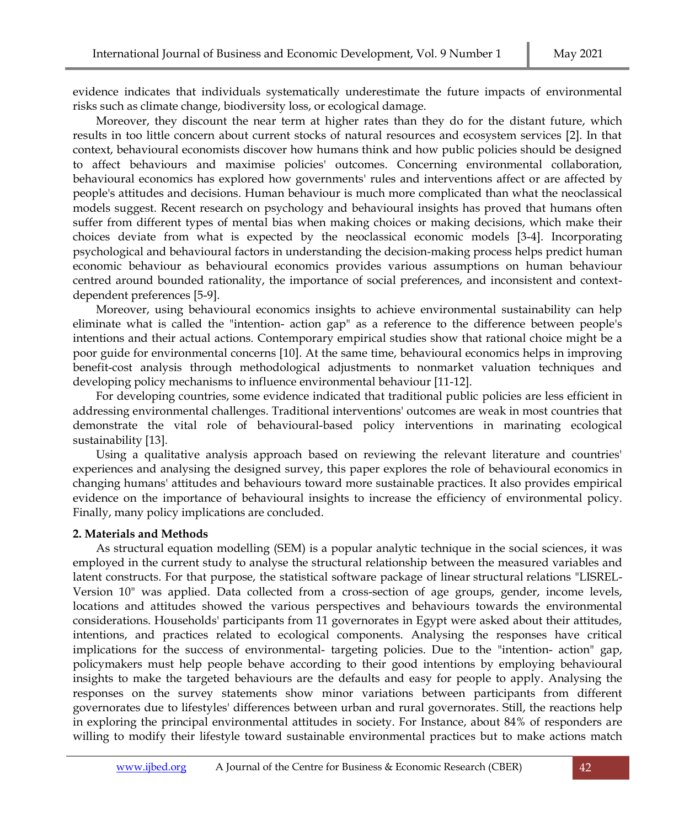evidence indicates that individuals systematically underestimate the future impacts of environmental risks such as climate change, biodiversity loss, or ecological damage.

Moreover, they discount the near term at higher rates than they do for the distant future, which results in too little concern about current stocks of natural resources and ecosystem services [2]. In that context, behavioural economists discover how humans think and how public policies should be designed to affect behaviours and maximise policies' outcomes. Concerning environmental collaboration, behavioural economics has explored how governments' rules and interventions affect or are affected by people's attitudes and decisions. Human behaviour is much more complicated than what the neoclassical models suggest. Recent research on psychology and behavioural insights has proved that humans often suffer from different types of mental bias when making choices or making decisions, which make their choices deviate from what is expected by the neoclassical economic models [3-4]. Incorporating psychological and behavioural factors in understanding the decision-making process helps predict human economic behaviour as behavioural economics provides various assumptions on human behaviour centred around bounded rationality, the importance of social preferences, and inconsistent and contextdependent preferences [5-9].

Moreover, using behavioural economics insights to achieve environmental sustainability can help eliminate what is called the "intention- action gap" as a reference to the difference between people's intentions and their actual actions. Contemporary empirical studies show that rational choice might be a poor guide for environmental concerns [10]. At the same time, behavioural economics helps in improving benefit-cost analysis through methodological adjustments to nonmarket valuation techniques and developing policy mechanisms to influence environmental behaviour [11-12].

For developing countries, some evidence indicated that traditional public policies are less efficient in addressing environmental challenges. Traditional interventions' outcomes are weak in most countries that demonstrate the vital role of behavioural-based policy interventions in marinating ecological sustainability [13].

Using a qualitative analysis approach based on reviewing the relevant literature and countries' experiences and analysing the designed survey, this paper explores the role of behavioural economics in changing humans' attitudes and behaviours toward more sustainable practices. It also provides empirical evidence on the importance of behavioural insights to increase the efficiency of environmental policy. Finally, many policy implications are concluded.

## **2. Materials and Methods**

As structural equation modelling (SEM) is a popular analytic technique in the social sciences, it was employed in the current study to analyse the structural relationship between the measured variables and latent constructs. For that purpose, the statistical software package of linear structural relations "LISREL-Version 10" was applied. Data collected from a cross-section of age groups, gender, income levels, locations and attitudes showed the various perspectives and behaviours towards the environmental considerations. Households' participants from 11 governorates in Egypt were asked about their attitudes, intentions, and practices related to ecological components. Analysing the responses have critical implications for the success of environmental- targeting policies. Due to the "intention- action" gap, policymakers must help people behave according to their good intentions by employing behavioural insights to make the targeted behaviours are the defaults and easy for people to apply. Analysing the responses on the survey statements show minor variations between participants from different governorates due to lifestyles' differences between urban and rural governorates. Still, the reactions help in exploring the principal environmental attitudes in society. For Instance, about 84% of responders are willing to modify their lifestyle toward sustainable environmental practices but to make actions match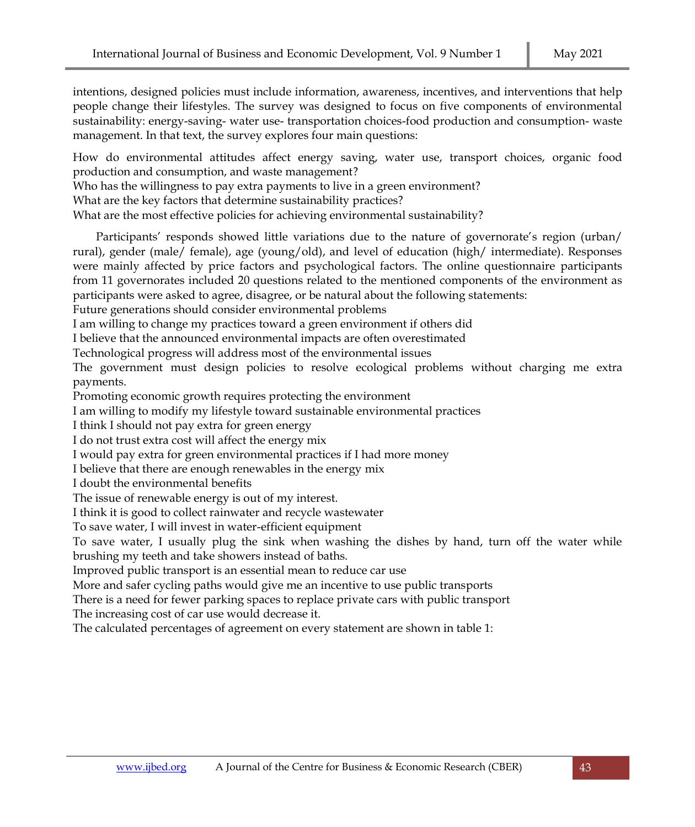intentions, designed policies must include information, awareness, incentives, and interventions that help people change their lifestyles. The survey was designed to focus on five components of environmental sustainability: energy-saving- water use- transportation choices-food production and consumption- waste management. In that text, the survey explores four main questions:

How do environmental attitudes affect energy saving, water use, transport choices, organic food production and consumption, and waste management?

Who has the willingness to pay extra payments to live in a green environment?

What are the key factors that determine sustainability practices?

What are the most effective policies for achieving environmental sustainability?

Participants' responds showed little variations due to the nature of governorate's region (urban/ rural), gender (male/ female), age (young/old), and level of education (high/ intermediate). Responses were mainly affected by price factors and psychological factors. The online questionnaire participants from 11 governorates included 20 questions related to the mentioned components of the environment as participants were asked to agree, disagree, or be natural about the following statements:

Future generations should consider environmental problems

I am willing to change my practices toward a green environment if others did

I believe that the announced environmental impacts are often overestimated

Technological progress will address most of the environmental issues

The government must design policies to resolve ecological problems without charging me extra payments.

Promoting economic growth requires protecting the environment

I am willing to modify my lifestyle toward sustainable environmental practices

I think I should not pay extra for green energy

I do not trust extra cost will affect the energy mix

I would pay extra for green environmental practices if I had more money

I believe that there are enough renewables in the energy mix

I doubt the environmental benefits

The issue of renewable energy is out of my interest.

I think it is good to collect rainwater and recycle wastewater

To save water, I will invest in water-efficient equipment

To save water, I usually plug the sink when washing the dishes by hand, turn off the water while brushing my teeth and take showers instead of baths.

Improved public transport is an essential mean to reduce car use

More and safer cycling paths would give me an incentive to use public transports

There is a need for fewer parking spaces to replace private cars with public transport

The increasing cost of car use would decrease it.

The calculated percentages of agreement on every statement are shown in table 1: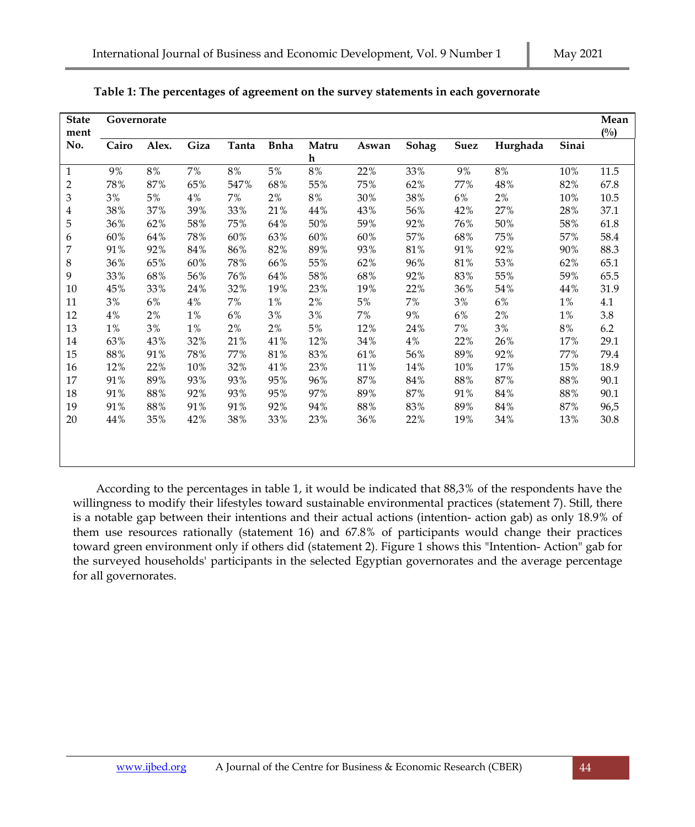| <b>State</b><br>ment    | Governorate |       |          |          |              |             |       |              |        |          |       |               |
|-------------------------|-------------|-------|----------|----------|--------------|-------------|-------|--------------|--------|----------|-------|---------------|
| No.                     | Cairo       | Alex. | Giza     | Tanta    | <b>B</b> nha | Matru       | Aswan | <b>Sohag</b> | Suez   | Hurghada | Sinai | $(^{0}/_{0})$ |
|                         |             |       |          |          |              | $\mathbf h$ |       |              |        |          |       |               |
| $\mathbf{1}$            | $9\%$       | $8\%$ | 7%       | $8\, \%$ | $5\%$        | $8\, \%$    | 22%   | 33%          | 9%     | $8\%$    | 10%   | 11.5          |
| $\overline{c}$          | 78%         | 87%   | 65%      | 547%     | 68%          | 55%         | 75%   | 62%          | 77%    | 48%      | 82%   | 67.8          |
| 3                       | 3%          | $5\%$ | $4\%$    | 7%       | 2%           | $8\%$       | 30%   | 38%          | 6%     | 2%       | 10%   | 10.5          |
| $\overline{\mathbf{4}}$ | 38%         | 37%   | 39%      | 33%      | 21%          | 44%         | 43%   | 56%          | 42%    | 27%      | 28%   | 37.1          |
| 5                       | 36%         | 62%   | 58%      | 75%      | 64%          | 50%         | 59%   | 92%          | 76%    | 50%      | 58%   | 61.8          |
| 6                       | 60%         | 64%   | 78%      | 60%      | 63%          | 60%         | 60%   | 57%          | 68%    | 75%      | 57%   | 58.4          |
| 7                       | 91%         | 92%   | 84%      | 86%      | 82%          | 89%         | 93%   | $81\%$       | 91%    | 92%      | 90%   | 88.3          |
| 8                       | 36%         | 65%   | 60%      | 78%      | 66%          | 55%         | 62%   | 96%          | 81%    | 53%      | 62%   | 65.1          |
| 9                       | 33%         | 68%   | 56%      | 76%      | 64%          | 58%         | 68%   | 92%          | 83%    | 55%      | 59%   | 65.5          |
| 10                      | 45%         | 33%   | 24%      | 32%      | 19%          | 23%         | 19%   | 22%          | 36%    | 54%      | 44%   | 31.9          |
| 11                      | $3\%$       | $6\%$ | $4\, \%$ | 7%       | $1\%$        | 2%          | $5\%$ | 7%           | 3%     | $6\%$    | $1\%$ | 4.1           |
| 12                      | $4\%$       | 2%    | $1\%$    | $6\%$    | 3%           | 3%          | 7%    | $9\%$        | 6%     | $2\%$    | $1\%$ | 3.8           |
| 13                      | 1%          | $3\%$ | 1%       | 2%       | 2%           | $5\%$       | 12%   | 24%          | $7\%$  | $3\%$    | 8%    | 6.2           |
| 14                      | 63%         | 43%   | 32%      | 21%      | 41%          | 12%         | 34%   | 4%           | 22%    | 26%      | 17%   | 29.1          |
| 15                      | 88%         | 91%   | 78%      | 77%      | 81%          | 83%         | 61%   | 56%          | 89%    | 92%      | 77%   | 79.4          |
| 16                      | 12%         | 22%   | 10%      | 32%      | 41%          | 23%         | 11%   | 14%          | 10%    | 17%      | 15%   | 18.9          |
| 17                      | 91%         | 89%   | 93%      | 93%      | 95%          | 96%         | 87%   | $84\,\%$     | $88\%$ | 87%      | 88%   | 90.1          |
| 18                      | 91%         | 88%   | 92%      | 93%      | 95%          | 97%         | 89%   | 87%          | 91%    | 84%      | 88%   | 90.1          |
| 19                      | 91%         | 88%   | 91%      | 91%      | 92%          | 94%         | 88%   | 83%          | 89%    | 84%      | 87%   | 96,5          |
| 20                      | 44%         | 35%   | 42%      | 38%      | 33%          | 23%         | 36%   | 22%          | 19%    | 34%      | 13%   | 30.8          |
|                         |             |       |          |          |              |             |       |              |        |          |       |               |
|                         |             |       |          |          |              |             |       |              |        |          |       |               |

**Table 1: The percentages of agreement on the survey statements in each governorate**

According to the percentages in table 1, it would be indicated that 88,3% of the respondents have the willingness to modify their lifestyles toward sustainable environmental practices (statement 7). Still, there is a notable gap between their intentions and their actual actions (intention- action gab) as only 18.9% of them use resources rationally (statement 16) and 67.8% of participants would change their practices toward green environment only if others did (statement 2). Figure 1 shows this "Intention- Action" gab for the surveyed households' participants in the selected Egyptian governorates and the average percentage for all governorates.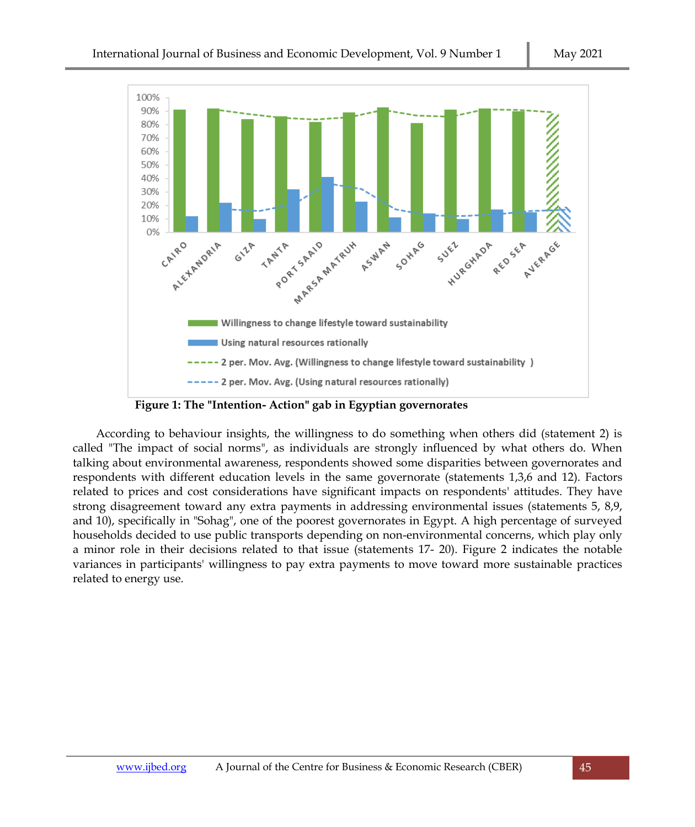

 **Figure 1: The "Intention- Action" gab in Egyptian governorates**

According to behaviour insights, the willingness to do something when others did (statement 2) is called "The impact of social norms", as individuals are strongly influenced by what others do. When talking about environmental awareness, respondents showed some disparities between governorates and respondents with different education levels in the same governorate (statements 1,3,6 and 12). Factors related to prices and cost considerations have significant impacts on respondents' attitudes. They have strong disagreement toward any extra payments in addressing environmental issues (statements 5, 8,9, and 10), specifically in "Sohag", one of the poorest governorates in Egypt. A high percentage of surveyed households decided to use public transports depending on non-environmental concerns, which play only a minor role in their decisions related to that issue (statements 17- 20). Figure 2 indicates the notable variances in participants' willingness to pay extra payments to move toward more sustainable practices related to energy use.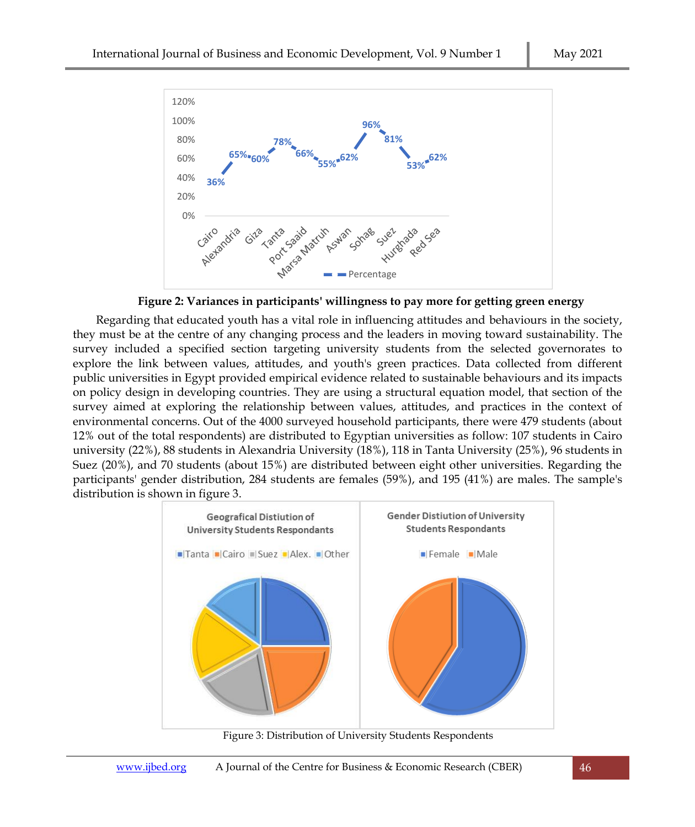



Regarding that educated youth has a vital role in influencing attitudes and behaviours in the society, they must be at the centre of any changing process and the leaders in moving toward sustainability. The survey included a specified section targeting university students from the selected governorates to explore the link between values, attitudes, and youth's green practices. Data collected from different public universities in Egypt provided empirical evidence related to sustainable behaviours and its impacts on policy design in developing countries. They are using a structural equation model, that section of the survey aimed at exploring the relationship between values, attitudes, and practices in the context of environmental concerns. Out of the 4000 surveyed household participants, there were 479 students (about 12% out of the total respondents) are distributed to Egyptian universities as follow: 107 students in Cairo university (22%), 88 students in Alexandria University (18%), 118 in Tanta University (25%), 96 students in Suez (20%), and 70 students (about 15%) are distributed between eight other universities. Regarding the participants' gender distribution, 284 students are females (59%), and 195 (41%) are males. The sample's distribution is shown in figure 3.



Figure 3: Distribution of University Students Respondents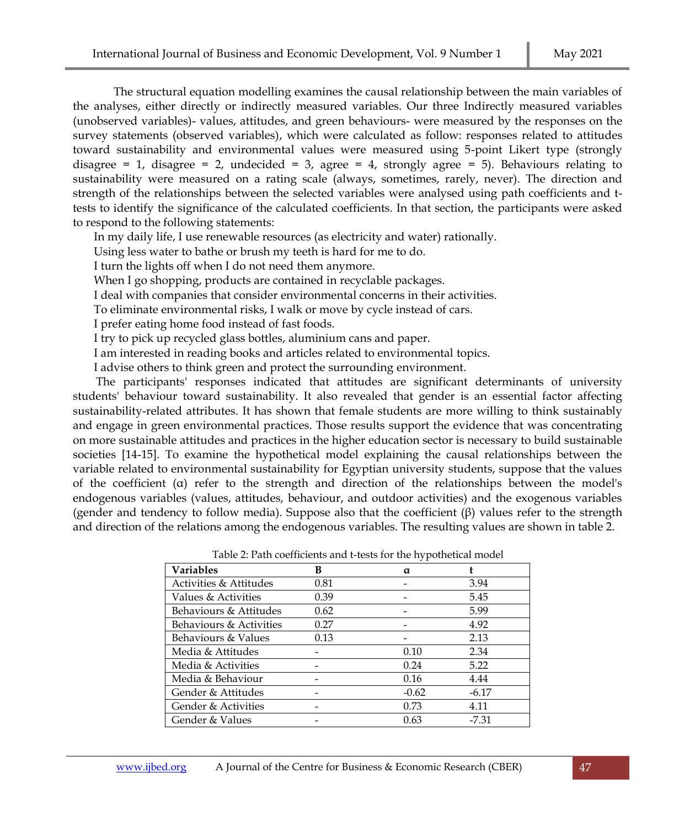The structural equation modelling examines the causal relationship between the main variables of the analyses, either directly or indirectly measured variables. Our three Indirectly measured variables (unobserved variables)- values, attitudes, and green behaviours- were measured by the responses on the survey statements (observed variables), which were calculated as follow: responses related to attitudes toward sustainability and environmental values were measured using 5-point Likert type (strongly disagree = 1, disagree = 2, undecided = 3, agree = 4, strongly agree = 5). Behaviours relating to sustainability were measured on a rating scale (always, sometimes, rarely, never). The direction and strength of the relationships between the selected variables were analysed using path coefficients and ttests to identify the significance of the calculated coefficients. In that section, the participants were asked to respond to the following statements:

In my daily life, I use renewable resources (as electricity and water) rationally.

Using less water to bathe or brush my teeth is hard for me to do.

I turn the lights off when I do not need them anymore.

When I go shopping, products are contained in recyclable packages.

I deal with companies that consider environmental concerns in their activities.

To eliminate environmental risks, I walk or move by cycle instead of cars.

I prefer eating home food instead of fast foods.

I try to pick up recycled glass bottles, aluminium cans and paper.

I am interested in reading books and articles related to environmental topics.

I advise others to think green and protect the surrounding environment.

The participants' responses indicated that attitudes are significant determinants of university students' behaviour toward sustainability. It also revealed that gender is an essential factor affecting sustainability-related attributes. It has shown that female students are more willing to think sustainably and engage in green environmental practices. Those results support the evidence that was concentrating on more sustainable attitudes and practices in the higher education sector is necessary to build sustainable societies [14-15]. To examine the hypothetical model explaining the causal relationships between the variable related to environmental sustainability for Egyptian university students, suppose that the values of the coefficient  $(a)$  refer to the strength and direction of the relationships between the model's endogenous variables (values, attitudes, behaviour, and outdoor activities) and the exogenous variables (gender and tendency to follow media). Suppose also that the coefficient  $(\beta)$  values refer to the strength and direction of the relations among the endogenous variables. The resulting values are shown in table 2.

| <b>Variables</b>        | В    | α       |         |  |
|-------------------------|------|---------|---------|--|
| Activities & Attitudes  | 0.81 |         | 3.94    |  |
| Values & Activities     | 0.39 |         | 5.45    |  |
| Behaviours & Attitudes  | 0.62 |         | 5.99    |  |
| Behaviours & Activities | 0.27 |         | 4.92    |  |
| Behaviours & Values     | 0.13 |         | 2.13    |  |
| Media & Attitudes       |      | 0.10    | 2.34    |  |
| Media & Activities      |      | 0.24    | 5.22    |  |
| Media & Behaviour       |      | 0.16    | 4.44    |  |
| Gender & Attitudes      |      | $-0.62$ | $-6.17$ |  |
| Gender & Activities     |      | 0.73    | 4.11    |  |
| Gender & Values         |      | 0.63    | $-7.31$ |  |

Table 2: Path coefficients and t-tests for the hypothetical model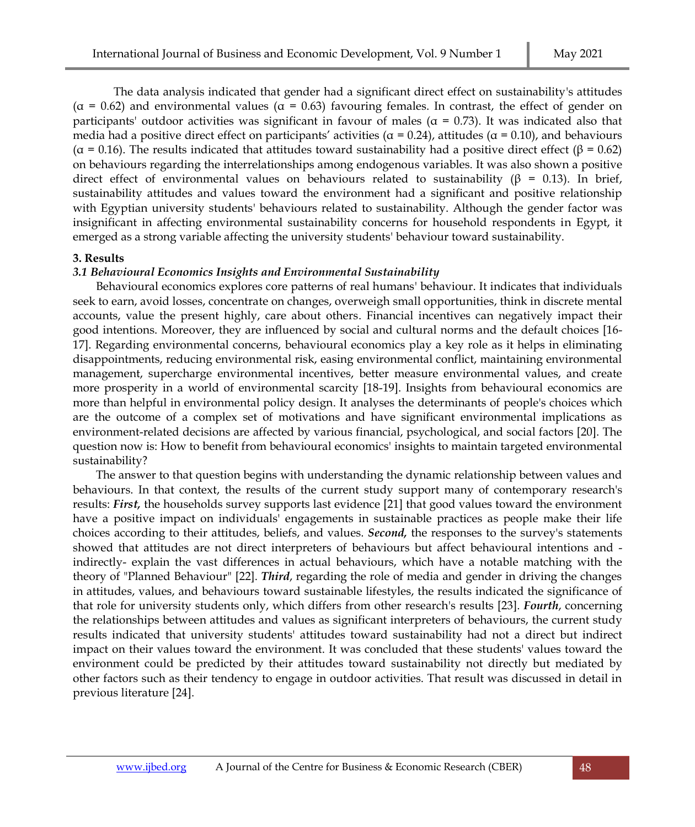The data analysis indicated that gender had a significant direct effect on sustainability's attitudes ( $\alpha$  = 0.62) and environmental values ( $\alpha$  = 0.63) favouring females. In contrast, the effect of gender on participants' outdoor activities was significant in favour of males ( $\alpha$  = 0.73). It was indicated also that media had a positive direct effect on participants' activities ( $\alpha$  = 0.24), attitudes ( $\alpha$  = 0.10), and behaviours ( $\alpha$  = 0.16). The results indicated that attitudes toward sustainability had a positive direct effect ( $\beta$  = 0.62) on behaviours regarding the interrelationships among endogenous variables. It was also shown a positive direct effect of environmental values on behaviours related to sustainability (β = 0.13). In brief, sustainability attitudes and values toward the environment had a significant and positive relationship with Egyptian university students' behaviours related to sustainability. Although the gender factor was insignificant in affecting environmental sustainability concerns for household respondents in Egypt, it emerged as a strong variable affecting the university students' behaviour toward sustainability.

## **3. Results**

## *3.1 Behavioural Economics Insights and Environmental Sustainability*

Behavioural economics explores core patterns of real humans' behaviour. It indicates that individuals seek to earn, avoid losses, concentrate on changes, overweigh small opportunities, think in discrete mental accounts, value the present highly, care about others. Financial incentives can negatively impact their good intentions. Moreover, they are influenced by social and cultural norms and the default choices [16- 17]. Regarding environmental concerns, behavioural economics play a key role as it helps in eliminating disappointments, reducing environmental risk, easing environmental conflict, maintaining environmental management, supercharge environmental incentives, better measure environmental values, and create more prosperity in a world of environmental scarcity [18-19]. Insights from behavioural economics are more than helpful in environmental policy design. It analyses the determinants of people's choices which are the outcome of a complex set of motivations and have significant environmental implications as environment-related decisions are affected by various financial, psychological, and social factors [20]. The question now is: How to benefit from behavioural economics' insights to maintain targeted environmental sustainability?

The answer to that question begins with understanding the dynamic relationship between values and behaviours. In that context, the results of the current study support many of contemporary research's results: *First,* the households survey supports last evidence [21] that good values toward the environment have a positive impact on individuals' engagements in sustainable practices as people make their life choices according to their attitudes, beliefs, and values. *Second,* the responses to the survey's statements showed that attitudes are not direct interpreters of behaviours but affect behavioural intentions and indirectly- explain the vast differences in actual behaviours, which have a notable matching with the theory of "Planned Behaviour" [22]. *Third*, regarding the role of media and gender in driving the changes in attitudes, values, and behaviours toward sustainable lifestyles, the results indicated the significance of that role for university students only, which differs from other research's results [23]. *Fourth*, concerning the relationships between attitudes and values as significant interpreters of behaviours, the current study results indicated that university students' attitudes toward sustainability had not a direct but indirect impact on their values toward the environment. It was concluded that these students' values toward the environment could be predicted by their attitudes toward sustainability not directly but mediated by other factors such as their tendency to engage in outdoor activities. That result was discussed in detail in previous literature [24].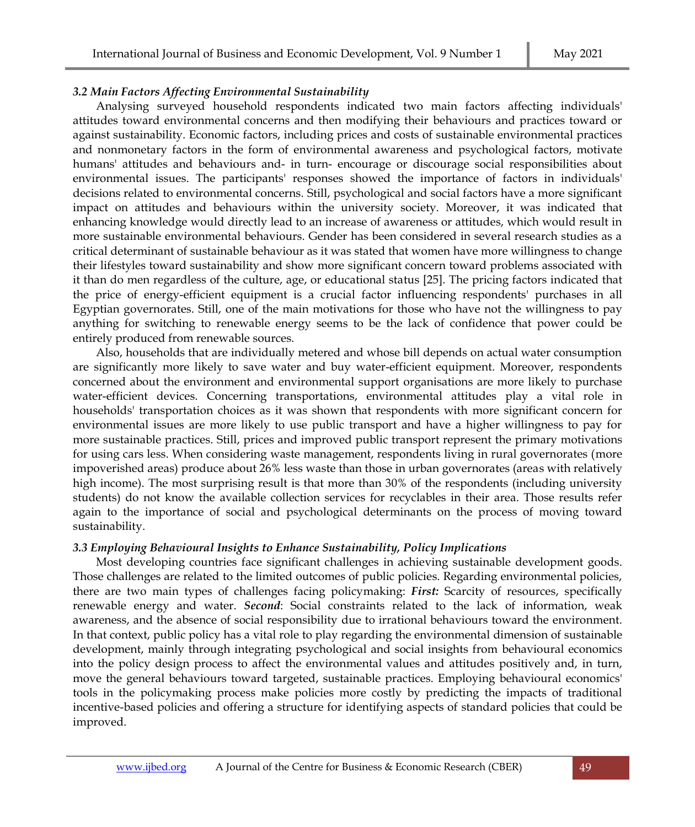## *3.2 Main Factors Affecting Environmental Sustainability*

Analysing surveyed household respondents indicated two main factors affecting individuals' attitudes toward environmental concerns and then modifying their behaviours and practices toward or against sustainability. Economic factors, including prices and costs of sustainable environmental practices and nonmonetary factors in the form of environmental awareness and psychological factors, motivate humans' attitudes and behaviours and- in turn- encourage or discourage social responsibilities about environmental issues. The participants' responses showed the importance of factors in individuals' decisions related to environmental concerns. Still, psychological and social factors have a more significant impact on attitudes and behaviours within the university society. Moreover, it was indicated that enhancing knowledge would directly lead to an increase of awareness or attitudes, which would result in more sustainable environmental behaviours. Gender has been considered in several research studies as a critical determinant of sustainable behaviour as it was stated that women have more willingness to change their lifestyles toward sustainability and show more significant concern toward problems associated with it than do men regardless of the culture, age, or educational status [25]. The pricing factors indicated that the price of energy-efficient equipment is a crucial factor influencing respondents' purchases in all Egyptian governorates. Still, one of the main motivations for those who have not the willingness to pay anything for switching to renewable energy seems to be the lack of confidence that power could be entirely produced from renewable sources.

Also, households that are individually metered and whose bill depends on actual water consumption are significantly more likely to save water and buy water-efficient equipment. Moreover, respondents concerned about the environment and environmental support organisations are more likely to purchase water-efficient devices. Concerning transportations, environmental attitudes play a vital role in households' transportation choices as it was shown that respondents with more significant concern for environmental issues are more likely to use public transport and have a higher willingness to pay for more sustainable practices. Still, prices and improved public transport represent the primary motivations for using cars less. When considering waste management, respondents living in rural governorates (more impoverished areas) produce about 26% less waste than those in urban governorates (areas with relatively high income). The most surprising result is that more than 30% of the respondents (including university students) do not know the available collection services for recyclables in their area. Those results refer again to the importance of social and psychological determinants on the process of moving toward sustainability.

## *3.3 Employing Behavioural Insights to Enhance Sustainability, Policy Implications*

Most developing countries face significant challenges in achieving sustainable development goods. Those challenges are related to the limited outcomes of public policies. Regarding environmental policies, there are two main types of challenges facing policymaking: *First:* Scarcity of resources, specifically renewable energy and water. *Second*: Social constraints related to the lack of information, weak awareness, and the absence of social responsibility due to irrational behaviours toward the environment. In that context, public policy has a vital role to play regarding the environmental dimension of sustainable development, mainly through integrating psychological and social insights from behavioural economics into the policy design process to affect the environmental values and attitudes positively and, in turn, move the general behaviours toward targeted, sustainable practices. Employing behavioural economics' tools in the policymaking process make policies more costly by predicting the impacts of traditional incentive-based policies and offering a structure for identifying aspects of standard policies that could be improved.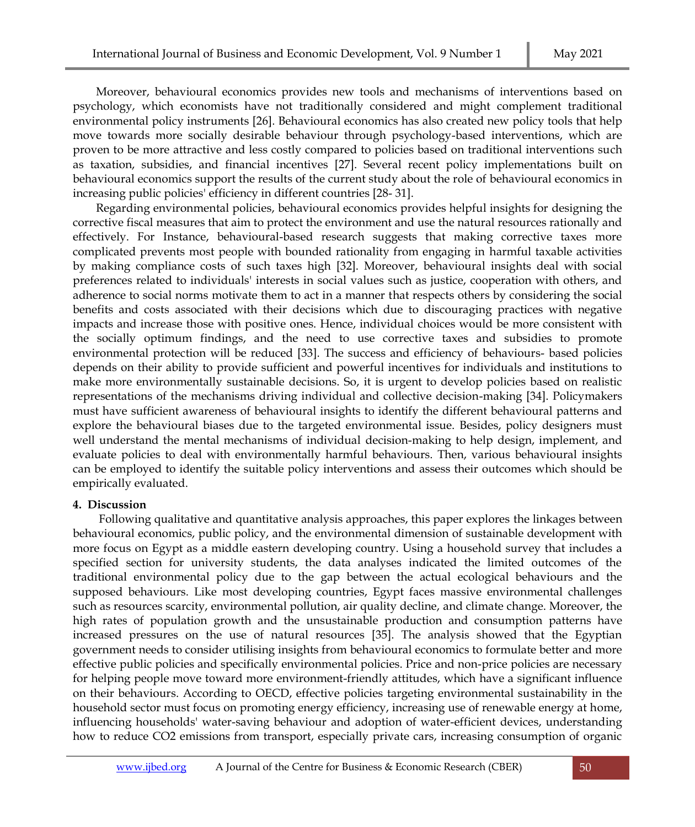Moreover, behavioural economics provides new tools and mechanisms of interventions based on psychology, which economists have not traditionally considered and might complement traditional environmental policy instruments [26]. Behavioural economics has also created new policy tools that help move towards more socially desirable behaviour through psychology-based interventions, which are proven to be more attractive and less costly compared to policies based on traditional interventions such as taxation, subsidies, and financial incentives [27]. Several recent policy implementations built on behavioural economics support the results of the current study about the role of behavioural economics in increasing public policies' efficiency in different countries [28- 31].

Regarding environmental policies, behavioural economics provides helpful insights for designing the corrective fiscal measures that aim to protect the environment and use the natural resources rationally and effectively. For Instance, behavioural-based research suggests that making corrective taxes more complicated prevents most people with bounded rationality from engaging in harmful taxable activities by making compliance costs of such taxes high [32]. Moreover, behavioural insights deal with social preferences related to individuals' interests in social values such as justice, cooperation with others, and adherence to social norms motivate them to act in a manner that respects others by considering the social benefits and costs associated with their decisions which due to discouraging practices with negative impacts and increase those with positive ones. Hence, individual choices would be more consistent with the socially optimum findings, and the need to use corrective taxes and subsidies to promote environmental protection will be reduced [33]. The success and efficiency of behaviours- based policies depends on their ability to provide sufficient and powerful incentives for individuals and institutions to make more environmentally sustainable decisions. So, it is urgent to develop policies based on realistic representations of the mechanisms driving individual and collective decision-making [34]. Policymakers must have sufficient awareness of behavioural insights to identify the different behavioural patterns and explore the behavioural biases due to the targeted environmental issue. Besides, policy designers must well understand the mental mechanisms of individual decision-making to help design, implement, and evaluate policies to deal with environmentally harmful behaviours. Then, various behavioural insights can be employed to identify the suitable policy interventions and assess their outcomes which should be empirically evaluated.

## **4. Discussion**

Following qualitative and quantitative analysis approaches, this paper explores the linkages between behavioural economics, public policy, and the environmental dimension of sustainable development with more focus on Egypt as a middle eastern developing country. Using a household survey that includes a specified section for university students, the data analyses indicated the limited outcomes of the traditional environmental policy due to the gap between the actual ecological behaviours and the supposed behaviours. Like most developing countries, Egypt faces massive environmental challenges such as resources scarcity, environmental pollution, air quality decline, and climate change. Moreover, the high rates of population growth and the unsustainable production and consumption patterns have increased pressures on the use of natural resources [35]. The analysis showed that the Egyptian government needs to consider utilising insights from behavioural economics to formulate better and more effective public policies and specifically environmental policies. Price and non-price policies are necessary for helping people move toward more environment-friendly attitudes, which have a significant influence on their behaviours. According to OECD, effective policies targeting environmental sustainability in the household sector must focus on promoting energy efficiency, increasing use of renewable energy at home, influencing households' water-saving behaviour and adoption of water-efficient devices, understanding how to reduce CO2 emissions from transport, especially private cars, increasing consumption of organic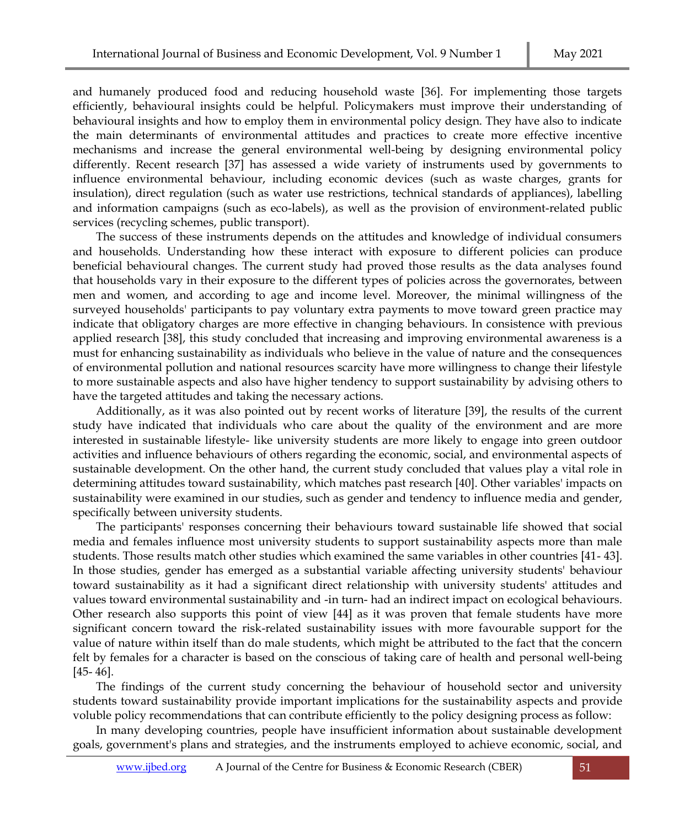and humanely produced food and reducing household waste [36]. For implementing those targets efficiently, behavioural insights could be helpful. Policymakers must improve their understanding of behavioural insights and how to employ them in environmental policy design. They have also to indicate the main determinants of environmental attitudes and practices to create more effective incentive mechanisms and increase the general environmental well-being by designing environmental policy differently. Recent research [37] has assessed a wide variety of instruments used by governments to influence environmental behaviour, including economic devices (such as waste charges, grants for insulation), direct regulation (such as water use restrictions, technical standards of appliances), labelling and information campaigns (such as eco-labels), as well as the provision of environment-related public services (recycling schemes, public transport).

The success of these instruments depends on the attitudes and knowledge of individual consumers and households. Understanding how these interact with exposure to different policies can produce beneficial behavioural changes. The current study had proved those results as the data analyses found that households vary in their exposure to the different types of policies across the governorates, between men and women, and according to age and income level. Moreover, the minimal willingness of the surveyed households' participants to pay voluntary extra payments to move toward green practice may indicate that obligatory charges are more effective in changing behaviours. In consistence with previous applied research [38], this study concluded that increasing and improving environmental awareness is a must for enhancing sustainability as individuals who believe in the value of nature and the consequences of environmental pollution and national resources scarcity have more willingness to change their lifestyle to more sustainable aspects and also have higher tendency to support sustainability by advising others to have the targeted attitudes and taking the necessary actions.

Additionally, as it was also pointed out by recent works of literature [39], the results of the current study have indicated that individuals who care about the quality of the environment and are more interested in sustainable lifestyle- like university students are more likely to engage into green outdoor activities and influence behaviours of others regarding the economic, social, and environmental aspects of sustainable development. On the other hand, the current study concluded that values play a vital role in determining attitudes toward sustainability, which matches past research [40]. Other variables' impacts on sustainability were examined in our studies, such as gender and tendency to influence media and gender, specifically between university students.

The participants' responses concerning their behaviours toward sustainable life showed that social media and females influence most university students to support sustainability aspects more than male students. Those results match other studies which examined the same variables in other countries [41- 43]. In those studies, gender has emerged as a substantial variable affecting university students' behaviour toward sustainability as it had a significant direct relationship with university students' attitudes and values toward environmental sustainability and -in turn- had an indirect impact on ecological behaviours. Other research also supports this point of view [44] as it was proven that female students have more significant concern toward the risk-related sustainability issues with more favourable support for the value of nature within itself than do male students, which might be attributed to the fact that the concern felt by females for a character is based on the conscious of taking care of health and personal well-being [45- 46].

The findings of the current study concerning the behaviour of household sector and university students toward sustainability provide important implications for the sustainability aspects and provide voluble policy recommendations that can contribute efficiently to the policy designing process as follow:

In many developing countries, people have insufficient information about sustainable development goals, government's plans and strategies, and the instruments employed to achieve economic, social, and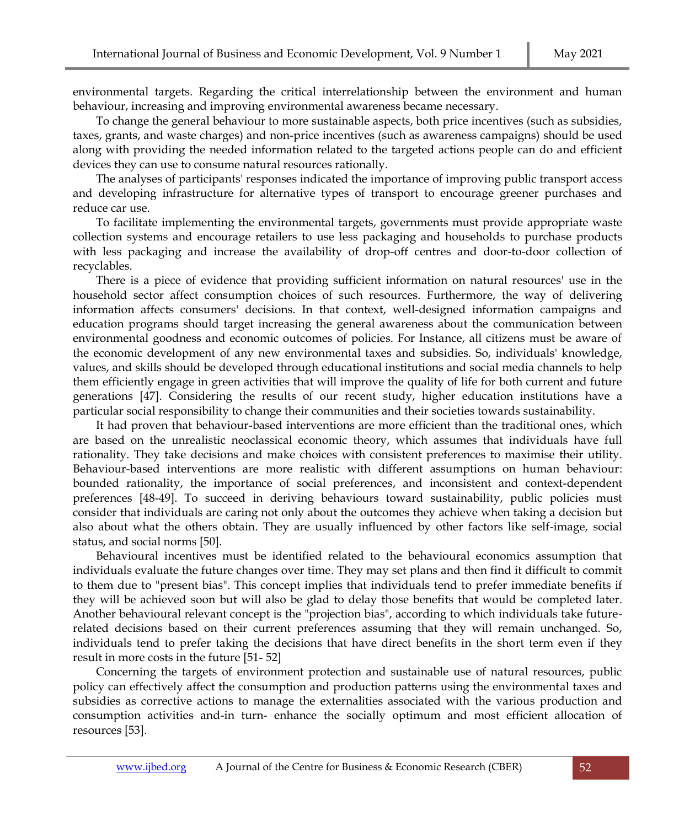environmental targets. Regarding the critical interrelationship between the environment and human behaviour, increasing and improving environmental awareness became necessary.

To change the general behaviour to more sustainable aspects, both price incentives (such as subsidies, taxes, grants, and waste charges) and non-price incentives (such as awareness campaigns) should be used along with providing the needed information related to the targeted actions people can do and efficient devices they can use to consume natural resources rationally.

The analyses of participants' responses indicated the importance of improving public transport access and developing infrastructure for alternative types of transport to encourage greener purchases and reduce car use.

To facilitate implementing the environmental targets, governments must provide appropriate waste collection systems and encourage retailers to use less packaging and households to purchase products with less packaging and increase the availability of drop-off centres and door-to-door collection of recyclables.

There is a piece of evidence that providing sufficient information on natural resources' use in the household sector affect consumption choices of such resources. Furthermore, the way of delivering information affects consumers' decisions. In that context, well-designed information campaigns and education programs should target increasing the general awareness about the communication between environmental goodness and economic outcomes of policies. For Instance, all citizens must be aware of the economic development of any new environmental taxes and subsidies. So, individuals' knowledge, values, and skills should be developed through educational institutions and social media channels to help them efficiently engage in green activities that will improve the quality of life for both current and future generations [47]. Considering the results of our recent study, higher education institutions have a particular social responsibility to change their communities and their societies towards sustainability.

It had proven that behaviour-based interventions are more efficient than the traditional ones, which are based on the unrealistic neoclassical economic theory, which assumes that individuals have full rationality. They take decisions and make choices with consistent preferences to maximise their utility. Behaviour-based interventions are more realistic with different assumptions on human behaviour: bounded rationality, the importance of social preferences, and inconsistent and context-dependent preferences [48-49]. To succeed in deriving behaviours toward sustainability, public policies must consider that individuals are caring not only about the outcomes they achieve when taking a decision but also about what the others obtain. They are usually influenced by other factors like self-image, social status, and social norms [50].

Behavioural incentives must be identified related to the behavioural economics assumption that individuals evaluate the future changes over time. They may set plans and then find it difficult to commit to them due to "present bias". This concept implies that individuals tend to prefer immediate benefits if they will be achieved soon but will also be glad to delay those benefits that would be completed later. Another behavioural relevant concept is the "projection bias", according to which individuals take futurerelated decisions based on their current preferences assuming that they will remain unchanged. So, individuals tend to prefer taking the decisions that have direct benefits in the short term even if they result in more costs in the future [51- 52]

Concerning the targets of environment protection and sustainable use of natural resources, public policy can effectively affect the consumption and production patterns using the environmental taxes and subsidies as corrective actions to manage the externalities associated with the various production and consumption activities and-in turn- enhance the socially optimum and most efficient allocation of resources [53].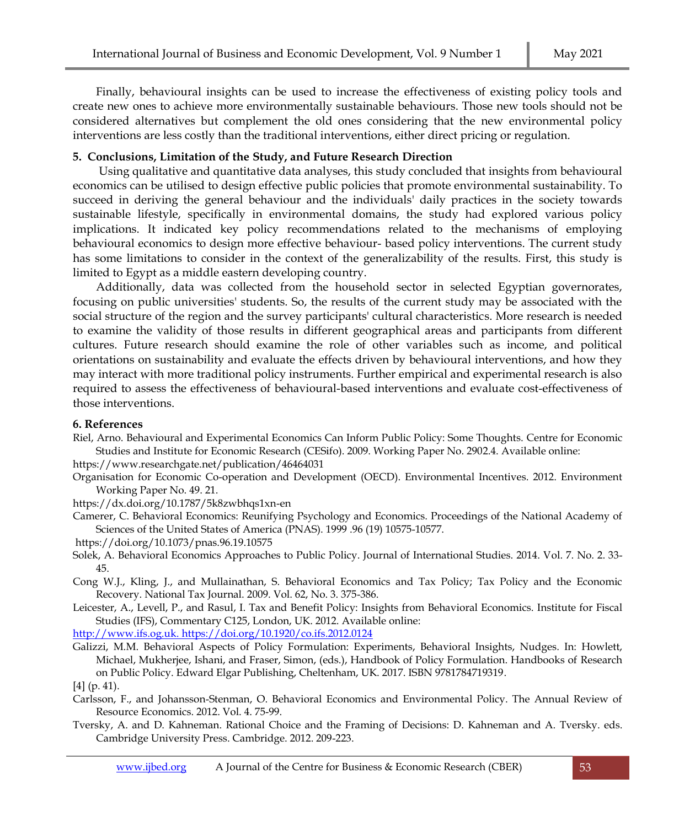Finally, behavioural insights can be used to increase the effectiveness of existing policy tools and create new ones to achieve more environmentally sustainable behaviours. Those new tools should not be considered alternatives but complement the old ones considering that the new environmental policy interventions are less costly than the traditional interventions, either direct pricing or regulation.

## **5. Conclusions, Limitation of the Study, and Future Research Direction**

Using qualitative and quantitative data analyses, this study concluded that insights from behavioural economics can be utilised to design effective public policies that promote environmental sustainability. To succeed in deriving the general behaviour and the individuals' daily practices in the society towards sustainable lifestyle, specifically in environmental domains, the study had explored various policy implications. It indicated key policy recommendations related to the mechanisms of employing behavioural economics to design more effective behaviour- based policy interventions. The current study has some limitations to consider in the context of the generalizability of the results. First, this study is limited to Egypt as a middle eastern developing country.

Additionally, data was collected from the household sector in selected Egyptian governorates, focusing on public universities' students. So, the results of the current study may be associated with the social structure of the region and the survey participants' cultural characteristics. More research is needed to examine the validity of those results in different geographical areas and participants from different cultures. Future research should examine the role of other variables such as income, and political orientations on sustainability and evaluate the effects driven by behavioural interventions, and how they may interact with more traditional policy instruments. Further empirical and experimental research is also required to assess the effectiveness of behavioural-based interventions and evaluate cost-effectiveness of those interventions.

## **6. References**

Riel, Arno. Behavioural and Experimental Economics Can Inform Public Policy: Some Thoughts. Centre for Economic Studies and Institute for Economic Research (CESifo). 2009. Working Paper No. 2902.4. Available online:

<https://www.researchgate.net/publication/46464031>

- Organisation for Economic Co-operation and Development (OECD). Environmental Incentives. 2012. Environment Working Paper No. 49. 21.
- <https://dx.doi.org/10.1787/5k8zwbhqs1xn-en>
- Camerer, C. Behavioral Economics: Reunifying Psychology and Economics. Proceedings of the National Academy of Sciences of the United States of America (PNAS). 1999 .96 (19) 10575-10577.
- <https://doi.org/10.1073/pnas.96.19.10575>
- Solek, A. Behavioral Economics Approaches to Public Policy. Journal of International Studies. 2014. Vol. 7. No. 2. 33- 45.
- Cong W.J., Kling, J., and Mullainathan, S. Behavioral Economics and Tax Policy; Tax Policy and the Economic Recovery. National Tax Journal. 2009. Vol. 62, No. 3. 375-386.
- Leicester, A., Levell, P., and Rasul, I. Tax and Benefit Policy: Insights from Behavioral Economics. Institute for Fiscal Studies (IFS), Commentary C125, London, UK. 2012. Available online:

http://www.ifs.og.uk. https://doi.org/10.1920/co.ifs.2012.0124

Galizzi, M.M. Behavioral Aspects of Policy Formulation: Experiments, Behavioral Insights, Nudges. In: Howlett, Michael, Mukherjee, Ishani, and Fraser, Simon, (eds.), Handbook of Policy Formulation. Handbooks of Research on Public Policy. Edward Elgar Publishing, Cheltenham, UK. 2017. ISBN 9781784719319.

[4] (p. 41).

- Carlsson, F., and Johansson-Stenman, O. Behavioral Economics and Environmental Policy. The Annual Review of Resource Economics. 2012. Vol. 4. 75-99.
- Tversky, A. and D. Kahneman. Rational Choice and the Framing of Decisions: D. Kahneman and A. Tversky. eds. Cambridge University Press. Cambridge. 2012. 209-223.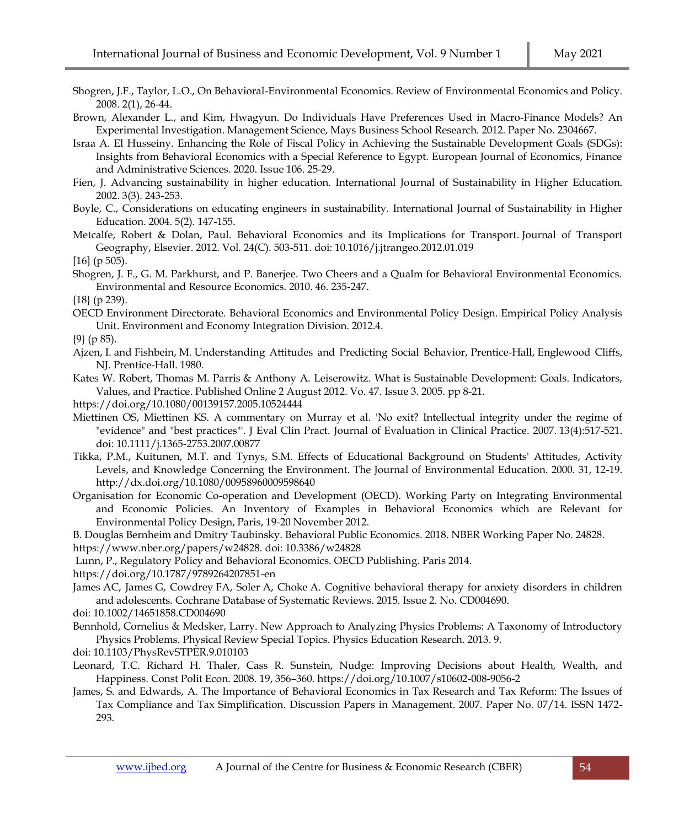- Shogren, J.F., Taylor, L.O., On Behavioral-Environmental Economics. Review of Environmental Economics and Policy. 2008. 2(1), 26-44.
- Brown, Alexander L., and Kim, Hwagyun. Do Individuals Have Preferences Used in Macro-Finance Models? An Experimental Investigation. Management Science, Mays Business School Research. 2012. Paper No. 2304667.
- Israa A. El Husseiny. Enhancing the Role of Fiscal Policy in Achieving the Sustainable Development Goals (SDGs): Insights from Behavioral Economics with a Special Reference to Egypt. European Journal of Economics, Finance and Administrative Sciences. 2020. Issue 106. 25-29.
- Fien, J. Advancing sustainability in higher education. International Journal of Sustainability in Higher Education. 2002. 3(3). 243-253.
- Boyle, C., Considerations on educating engineers in sustainability. International Journal of Sustainability in Higher Education. 2004. 5(2). 147-155.

Metcalfe, Robert & Dolan, Paul. [Behavioral Economics and its Implications for Transport.](https://ideas.repec.org/a/eee/jotrge/v24y2012icp503-511.html) [Journal of Transport](https://ideas.repec.org/s/eee/jotrge.html)  [Geography,](https://ideas.repec.org/s/eee/jotrge.html) Elsevier. 2012. Vol. 24(C). 503-511. doi: 10.1016/j.jtrangeo.2012.01.019

 $[16]$  (p 505).

Shogren, J. F., G. M. Parkhurst, and P. Banerjee. Two Cheers and a Qualm for Behavioral Environmental Economics. Environmental and Resource Economics. 2010. 46. 235-247.

{18} (p 239).

OECD Environment Directorate. Behavioral Economics and Environmental Policy Design. Empirical Policy Analysis Unit. Environment and Economy Integration Division. 2012.4.

{9} (p 85).

- Ajzen, I. and Fishbein, M. Understanding Attitudes and Predicting Social Behavior, Prentice-Hall, Englewood Cliffs, NJ. Prentice-Hall. 1980.
- [Kates W. Robert,](https://www.tandfonline.com/author/Robert%2C+Kates+W) [Thomas M. Parris](https://www.tandfonline.com/author/Parris%2C+Thomas+M) & [Anthony A. Leiserowitz.](https://www.tandfonline.com/author/Leiserowitz%2C+Anthony+A) What is Sustainable Development: Goals. Indicators, Values, and Practice. Published Online 2 August 2012. Vo. 47[. Issue 3.](https://www.tandfonline.com/toc/venv20/47/3) 2005. pp 8-21.
- <https://doi.org/10.1080/00139157.2005.10524444>
- Miettinen OS, Miettinen KS. A commentary on Murray et al. 'No exit? Intellectual integrity under the regime of "evidence" and "best practices"'. J Eval Clin Pract. [Journal of Evaluation in Clinical Practice.](https://www.researchgate.net/journal/Journal-of-Evaluation-in-Clinical-Practice-1365-2753) 2007. 13(4):517-521. doi: 10.1111/j.1365-2753.2007.00877
- Tikka, P.M., Kuitunen, M.T. and Tynys, S.M. Effects of Educational Background on Students' Attitudes, Activity Levels, and Knowledge Concerning the Environment. The Journal of Environmental Education. 2000. 31, 12-19. <http://dx.doi.org/10.1080/00958960009598640>
- Organisation for Economic Co-operation and Development (OECD). Working Party on Integrating Environmental and Economic Policies. An Inventory of Examples in Behavioral Economics which are Relevant for Environmental Policy Design, Paris, 19-20 November 2012.
- B. Douglas Bernheim and Dmitry Taubinsky. Behavioral Public Economics. 2018. NBER Working Paper No. 24828.

[https://www.nber.org/papers/w24828.](https://www.nber.org/papers/w24828.%20doi: 10.3386/w24828) doi: 10.3386/w24828

Lunn, P., Regulatory Policy and Behavioral Economics. OECD Publishing. Paris 2014.

- <https://doi.org/10.1787/9789264207851-en>
- James AC, James G, Cowdrey FA, Soler A, Choke A. Cognitive behavioral therapy for anxiety disorders in children and adolescents. Cochrane Database of Systematic Reviews. 2015. Issue 2. No. CD004690.
- doi: 10.1002/14651858.CD004690
- Bennhold, Cornelius & Medsker, Larry. New Approach to Analyzing Physics Problems: A Taxonomy of Introductory Physics Problems. Physical Review Special Topics. Physics Education Research. 2013. 9.
- doi: 10.1103/PhysRevSTPER.9.010103
- Leonard, T.C. Richard H. Thaler, Cass R. Sunstein, Nudge: Improving Decisions about Health, Wealth, and Happiness. Const Polit Econ. 2008. 19, 356–360. https://doi.org/10.1007/s10602-008-9056-2
- James, S. and Edwards, A. The Importance of Behavioral Economics in Tax Research and Tax Reform: The Issues of Tax Compliance and Tax Simplification. Discussion Papers in Management. 2007. Paper No. 07/14. ISSN 1472- 293.